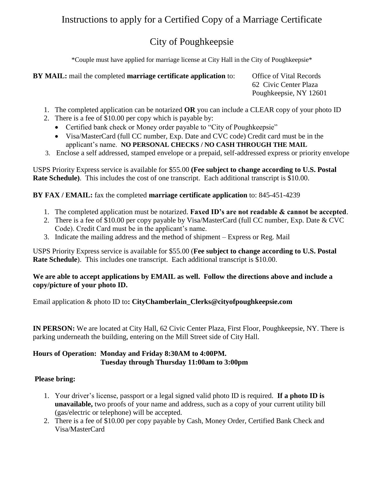# Instructions to apply for a Certified Copy of a Marriage Certificate

## City of Poughkeepsie

\*Couple must have applied for marriage license at City Hall in the City of Poughkeepsie\*

| BY MAIL: mail the completed marriage certificate application to: |  |
|------------------------------------------------------------------|--|
|                                                                  |  |

**Deffice of Vital Records** 62 Civic Center Plaza Poughkeepsie, NY 12601

- 1. The completed application can be notarized **OR** you can include a CLEAR copy of your photo ID
- 2. There is a fee of \$10.00 per copy which is payable by:
	- Certified bank check or Money order payable to "City of Poughkeepsie"
	- Visa/MasterCard (full CC number, Exp. Date and CVC code) Credit card must be in the applicant's name. **NO PERSONAL CHECKS / NO CASH THROUGH THE MAIL**
- 3. Enclose a self addressed, stamped envelope or a prepaid, self-addressed express or priority envelope

USPS Priority Express service is available for \$55.00 **(Fee subject to change according to U.S. Postal Rate Schedule)**. This includes the cost of one transcript. Each additional transcript is \$10.00.

**BY FAX / EMAIL:** fax the completed **marriage certificate application** to: 845-451-4239

- 1. The completed application must be notarized. **Faxed ID's are not readable & cannot be accepted**.
- 2. There is a fee of \$10.00 per copy payable by Visa/MasterCard (full CC number, Exp. Date & CVC Code). Credit Card must be in the applicant's name.
- 3. Indicate the mailing address and the method of shipment Express or Reg. Mail

USPS Priority Express service is available for \$55.00 (**Fee subject to change according to U.S. Postal Rate Schedule**). This includes one transcript. Each additional transcript is \$10.00.

#### **We are able to accept applications by EMAIL as well. Follow the directions above and include a copy/picture of your photo ID.**

Email application & photo ID to**: CityChamberlain\_Clerks@cityofpoughkeepsie.com**

**IN PERSON:** We are located at City Hall, 62 Civic Center Plaza, First Floor, Poughkeepsie, NY. There is parking underneath the building, entering on the Mill Street side of City Hall.

#### **Hours of Operation: Monday and Friday 8:30AM to 4:00PM. Tuesday through Thursday 11:00am to 3:00pm**

#### **Please bring:**

- 1. Your driver's license, passport or a legal signed valid photo ID is required. **If a photo ID is unavailable,** two proofs of your name and address, such as a copy of your current utility bill (gas/electric or telephone) will be accepted.
- 2. There is a fee of \$10.00 per copy payable by Cash, Money Order, Certified Bank Check and Visa/MasterCard